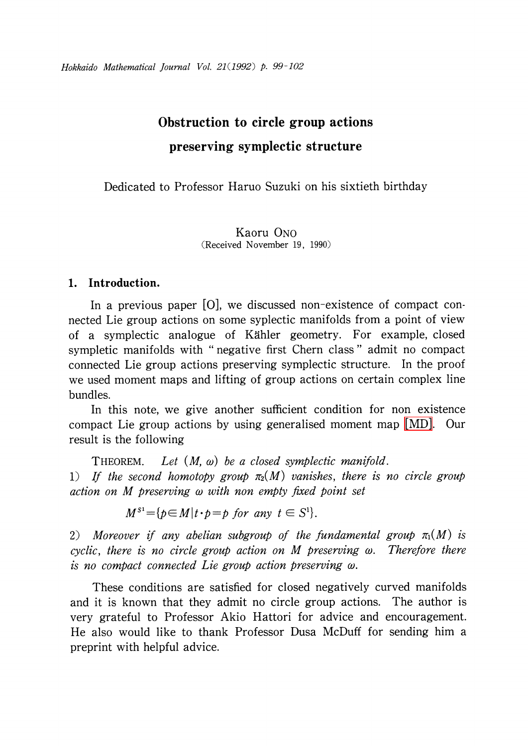# Obstruction to circle group actions preserving symplectic structure

Dedicated to Professor Haruo Suzuki on his sixtieth birthday

Kaoru ONO (Received November 19, 1990)

## 1. Introduction.

In a previous paper [O], we discussed non-existence of compact connected Lie group actions on some syplectic manifolds from a point of view of a symplectic analogue of <sup>K</sup>\"ahler geometry. For example, closed sympletic manifolds with " negative first Chern class " admit no compact connected Lie group actions preserving symplectic structure. In the proof we used moment maps and lifting of group actions on certain complex line bundles.

In this note, we give another sufficient condition for non existence compact Lie group actions by using generalised moment map [\[MD\].](#page-3-0) Our result is the following

<span id="page-0-0"></span>THEOREM. Let  $(M, \omega)$  be a closed symplectic manifold. 1) If the second homotopy group  $\pi_{2}(M)$  vanishes, there is no circle group action on  $M$  preserving  $\omega$  with non empty fixed point set

 $M^{S^{1}}= {p\in M|t\cdot p=p \text{ for any } t\in S^{1} }.$ 

2) Moreover if any abelian subgroup of the fundamental group  $\pi_{1}(M)$  is cyclic, there is no circle group action on M preserving  $\omega$ . Therefore there is no compact connected Lie group action preserving  $\omega$ .

These conditions are satisfied for closed negatively curved manifolds and it is known that they admit no circle group actions. The author is very grateful to Professor Akio Hattori for advice and encouragement. He also would like to thank Professor Dusa McDuff for sending him a preprint with helpful advice.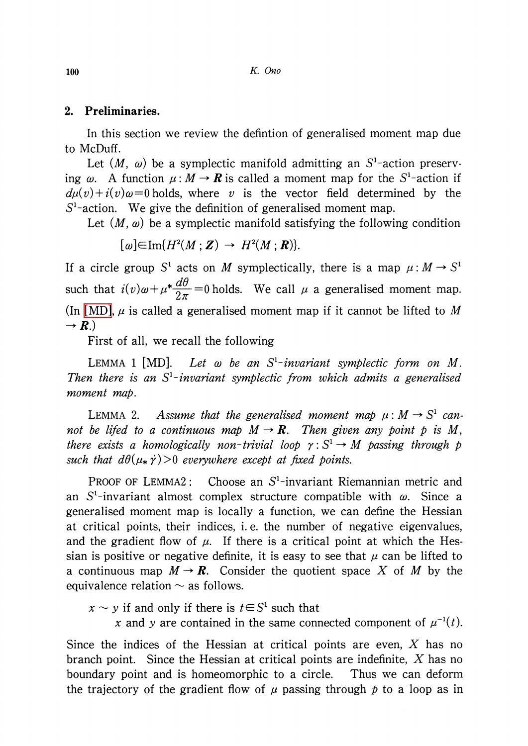### 2. Preliminaries.

In this section we review the defintion of generalised moment map due to McDuff.

Let  $(M, \omega)$  be a symplectic manifold admitting an S<sup>1</sup>-action preserving  $\omega$ . A function  $\mu:M\rightarrow \boldsymbol{R}$  is called a moment map for the  $S^{1-}$ action if  $d\mu(v)+i(v)\omega=0$  holds, where v is the vector field determined by the  $S^{1}$ -action. We give the definition of generalised moment map.

Let  $(M, \omega)$  be a symplectic manifold satisfying the following condition

 $\lceil \omega \rceil \in \text{Im}\{H^{2}(M; Z) \rightarrow H^{2}(M; R)\}$ .

If a circle group S<sup>1</sup> acts on M symplectically, there is a map  $\mu: M \rightarrow S^{1}$ such that  $i(v)\omega+\mu^{*}\frac{d\theta}{2\pi}=0$  holds. We call  $\mu$  a generalised moment map. (In [\[MD\],](#page-3-0)  $\mu$  is called a generalised moment map if it cannot be lifted to M  $\rightarrow R$ .)

First of all, we recall the following

<span id="page-1-1"></span>LEMMA 1 [MD]. Let  $\omega$  be an S<sup>1</sup>-invariant symplectic form on M. Then there is an  $S^{1}-i$ nvariant symplectic from which admits a generalised moment map.

<span id="page-1-0"></span>LEMMA 2. Assume that the generalised moment map  $\mu: M \rightarrow S^{1}$  cannot be lifed to a continuous map  $M \rightarrow \mathbb{R}$ . Then given any point p is M, there exists a homologically non-trivial loop  $\gamma: S^{1} \rightarrow M$  passing through p such that  $d\theta(\mu_{*}\dot{\gamma})>0$  everywhere except at fixed points.

PROOF OF LEMMA2: Choose an  $S^{1}$ -invariant Riemannian metric and an  $S^{1}$ -invariant almost complex structure compatible with  $\omega$ . Since a generalised moment map is locally a function, we can define the Hessian at critical points, their indices, i.e. the number of negative eigenvalues, and the gradient flow of  $\mu$ . If there is a critical point at which the Hessian is positive or negative definite, it is easy to see that  $\mu$  can be lifted to a continuous map  $M \rightarrow \mathbf{R}$ . Consider the quotient space X of M by the equivalence relation  $\sim$  as follows.

 $x \sim y$  if and only if there is  $t \in S^{1}$  such that

x and y are contained in the same connected component of  $\mu^{-1}(t)$ .

Since the indices of the Hessian at critical points are even,  $X$  has no branch point. Since the Hessian at critical points are indefinite, X has no boundary point and is homeomorphic to a circle. Thus we can deform the trajectory of the gradient flow of  $\mu$  passing through p to a loop as in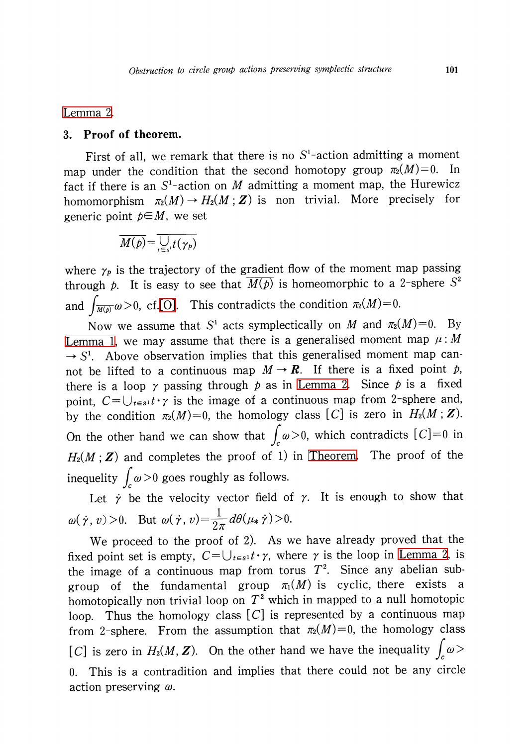#### 3. Proof of theorem.

First of all, we remark that there is no  $S^{1}$ -action admitting a moment map under the condition that the second homotopy group  $\pi_{2}(M)=0$ . In fact if there is an  $S^{1}$ -action on M admitting a moment map, the Hurewicz homomorphism  $\pi_{2}(M) \rightarrow H_{2}(M ; Z)$  is non trivial. More precisely for generic point  $p\in M$ , we set

$$
\overline{M(p)} = \overline{\bigcup_{t \in s^1} f(\gamma_p)}
$$

where  $\gamma_p$  is the trajectory of the gradient flow of the moment map passing through p. It is easy to see that  $\overline{M(p)}$  is homeomorphic to a 2-sphere S<sup>2</sup> and  $\int_{\overline{M(p)}}\omega>0$ , cf[.\[O\].](#page-3-1) This contradicts the condition  $\pi_{2}(M)=0$ .

Now we assume that  $S^{1}$  acts symplectically on M and  $\pi_{2}(M)=0$ . By [Lemma](#page-1-1) 1, we may assume that there is a generalised moment map  $\mu: M$  $\rightarrow S^{1}$ . Above observation implies that this generalised moment map cannot be lifted to a continuous map  $M \rightarrow \mathbb{R}$ . If there is a fixed point p, there is a loop  $\gamma$  passing through p as in [Lemma](#page-1-0) 2. Since p is a fixed point,  $C = \bigcup_{t\in s^{1}}\tau\cdot\gamma$  is the image of a continuous map from 2-sphere and, by the condition  $\pi_{2}(M)=0$ , the homology class [C] is zero in  $H_{2}(M;Z)$ . On the other hand we can show that  $\int_{c}\omega>0$ , which contradicts  $[C]=0$  in  $H_{2}(M;Z)$  and completes the proof of 1) in [Theorem.](#page-0-0) The proof of the inequelity  $\int_{c}\omega>0$  goes roughly as follows.

Let  $\dot{\gamma}$  be the velocity vector field of  $\gamma$ . It is enough to show that  $\omega(\dot{\gamma}, v)>0$ . But  $\omega(\dot{\gamma}, v)=\frac{1}{2\pi}d\theta(\mu_{*}\dot{\gamma})>0$ .

We proceed to the proof of 2). As we have already proved that the fixed point set is empty,  $C = \bigcup_{t\in s^{1}}t\cdot\gamma$ , where  $\gamma$  is the loop in [Lemma](#page-1-0) 2, is the image of a continuous map from torus  $T^{2}$ . Since any abelian subgroup of the fundamental group  $\pi_{1}(M)$  is cyclic, there exists a homotopically non trivial loop on  $T^{2}$  which in mapped to a null homotopic loop. Thus the homology class  $[C]$  is represented by a continuous map from 2-sphere. From the assumption that  $\pi_{2}(M)=0$ , the homology class [C] is zero in  $H_{2}(M, Z)$ . On the other hand we have the inequality  $\int_{c}\omega>$ <sup>0</sup> . This is a contradition and implies that there could not be any circle action preserving  $\omega$ .